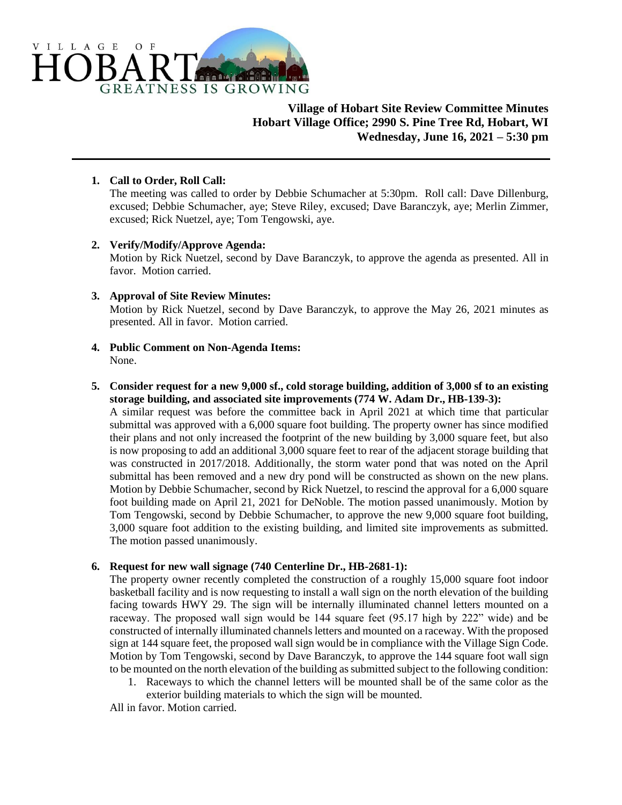

# **Village of Hobart Site Review Committee Minutes Hobart Village Office; 2990 S. Pine Tree Rd, Hobart, WI Wednesday, June 16, 2021 – 5:30 pm**

## **1. Call to Order, Roll Call:**

The meeting was called to order by Debbie Schumacher at 5:30pm. Roll call: Dave Dillenburg, excused; Debbie Schumacher, aye; Steve Riley, excused; Dave Baranczyk, aye; Merlin Zimmer, excused; Rick Nuetzel, aye; Tom Tengowski, aye.

## **2. Verify/Modify/Approve Agenda:**

Motion by Rick Nuetzel, second by Dave Baranczyk, to approve the agenda as presented. All in favor. Motion carried.

#### **3. Approval of Site Review Minutes:**

Motion by Rick Nuetzel, second by Dave Baranczyk, to approve the May 26, 2021 minutes as presented. All in favor. Motion carried.

**4. Public Comment on Non-Agenda Items:** None.

#### **5. Consider request for a new 9,000 sf., cold storage building, addition of 3,000 sf to an existing storage building, and associated site improvements (774 W. Adam Dr., HB-139-3):**

A similar request was before the committee back in April 2021 at which time that particular submittal was approved with a 6,000 square foot building. The property owner has since modified their plans and not only increased the footprint of the new building by 3,000 square feet, but also is now proposing to add an additional 3,000 square feet to rear of the adjacent storage building that was constructed in 2017/2018. Additionally, the storm water pond that was noted on the April submittal has been removed and a new dry pond will be constructed as shown on the new plans. Motion by Debbie Schumacher, second by Rick Nuetzel, to rescind the approval for a 6,000 square foot building made on April 21, 2021 for DeNoble. The motion passed unanimously. Motion by Tom Tengowski, second by Debbie Schumacher, to approve the new 9,000 square foot building, 3,000 square foot addition to the existing building, and limited site improvements as submitted. The motion passed unanimously.

## **6. Request for new wall signage (740 Centerline Dr., HB-2681-1):**

The property owner recently completed the construction of a roughly 15,000 square foot indoor basketball facility and is now requesting to install a wall sign on the north elevation of the building facing towards HWY 29. The sign will be internally illuminated channel letters mounted on a raceway. The proposed wall sign would be 144 square feet (95.17 high by 222" wide) and be constructed of internally illuminated channels letters and mounted on a raceway. With the proposed sign at 144 square feet, the proposed wall sign would be in compliance with the Village Sign Code. Motion by Tom Tengowski, second by Dave Baranczyk, to approve the 144 square foot wall sign to be mounted on the north elevation of the building as submitted subject to the following condition:

1. Raceways to which the channel letters will be mounted shall be of the same color as the exterior building materials to which the sign will be mounted.

All in favor. Motion carried.